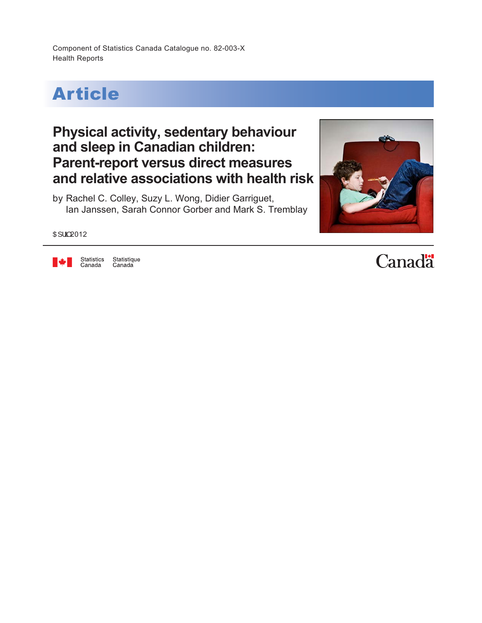Component of Statistics Canada Catalogue no. 82-003-X Health Reports



## **Physical activity, sedentary behaviour and sleep in Canadian children: Parent-report versus direct measures and relative associations with health risk**

by Rachel C. Colley, Suzy L. Wong, Didier Garriguet, Ian Janssen, Sarah Connor Gorber and Mark S. Tremblay



O 2012



Statistics Statistique<br>Canada Canada

Canadä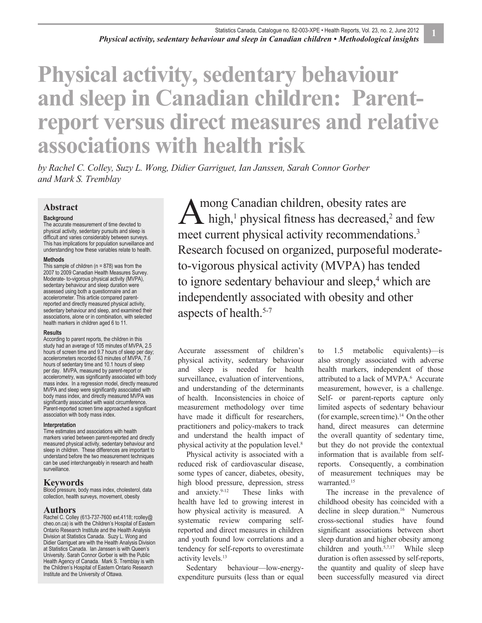# **Physical activity, sedentary behaviour and sleep in Canadian children: Parentreport versus direct measures and relative associations with health risk**

*by Rachel C. Colley, Suzy L. Wong, Didier Garriguet, Ian Janssen, Sarah Connor Gorber and Mark S. Tremblay*

### **Abstract**

#### **Background**

The accurate measurement of time devoted to physical activity, sedentary pursuits and sleep is difficult and varies considerably between surveys. This has implications for population surveillance and understanding how these variables relate to health.

#### **Methods**

This sample of children ( $n = 878$ ) was from the 2007 to 2009 Canadian Health Measures Survey. Moderate- to-vigorous physical activity (MVPA), sedentary behaviour and sleep duration were assessed using both a questionnaire and an accelerometer. This article compared parentreported and directly measured physical activity, sedentary behaviour and sleep, and examined their associations, alone or in combination, with selected health markers in children aged 6 to 11.

#### **Results**

According to parent reports, the children in this study had an average of 105 minutes of MVPA, 2.5 hours of screen time and 9.7 hours of sleep per day; accelerometers recorded 63 minutes of MVPA, 7.6 hours of sedentary time and 10.1 hours of sleep per day. MVPA, measured by parent-report or accelerometry, was significantly associated with body mass index. In a regression model, directly measured MVPA and sleep were significantly associated with body mass index, and directly measured MVPA was significantly associated with waist circumference. Parent-reported screen time approached a significant association with body mass index.

#### **Interpretation**

Time estimates and associations with health markers varied between parent-reported and directly measured physical activity, sedentary behaviour and sleep in children. These differences are important to understand before the two measurement techniques can be used interchangeably in research and health surveillance.

#### **Keywords**

Blood pressure, body mass index, cholesterol, data collection, health surveys, movement, obesity

#### **Authors**

Rachel C. Colley (613-737-7600 ext.4118; rcolley@ cheo.on.ca) is with the Children's Hospital of Eastern Ontario Research Institute and the Health Analysis Division at Statistics Canada. Suzy L. Wong and Didier Garriguet are with the Health Analysis Division at Statistics Canada. Ian Janssen is with Queen's University. Sarah Connor Gorber is with the Public Health Agency of Canada. Mark S. Tremblay is with the Children's Hospital of Eastern Ontario Research Institute and the University of Ottawa.

mong Canadian children, obesity rates are high, $\frac{1}{2}$  physical fitness has decreased, $\frac{2}{2}$  and few meet current physical activity recommendations.<sup>3</sup> Research focused on organized, purposeful moderateto-vigorous physical activity (MVPA) has tended to ignore sedentary behaviour and sleep,<sup>4</sup> which are independently associated with obesity and other aspects of health.<sup>5-7</sup>  $\overline{A}^n$ 

Accurate assessment of children's physical activity, sedentary behaviour and sleep is needed for health surveillance, evaluation of interventions, and understanding of the determinants of health. Inconsistencies in choice of measurement methodology over time have made it difficult for researchers, practitioners and policy-makers to track and understand the health impact of physical activity at the population level.<sup>8</sup>

Physical activity is associated with a reduced risk of cardiovascular disease, some types of cancer, diabetes, obesity, high blood pressure, depression, stress and anxiety.<sup>9-12</sup> These links with health have led to growing interest in how physical activity is measured. A systematic review comparing selfreported and direct measures in children and youth found low correlations and a tendency for self-reports to overestimate activity levels.<sup>13</sup>

Sedentary behaviour—low-energyexpenditure pursuits (less than or equal to 1.5 metabolic equivalents)—is also strongly associated with adverse health markers, independent of those attributed to a lack of MVPA.<sup>6</sup> Accurate measurement, however, is a challenge. Self- or parent-reports capture only limited aspects of sedentary behaviour (for example, screen time).<sup>14</sup> On the other hand, direct measures can determine the overall quantity of sedentary time, but they do not provide the contextual information that is available from selfreports. Consequently, a combination of measurement techniques may be warranted.<sup>15</sup>

The increase in the prevalence of childhood obesity has coincided with a decline in sleep duration.<sup>16</sup> Numerous cross-sectional studies have found significant associations between short sleep duration and higher obesity among children and youth.<sup>5,7,17</sup> While sleep duration is often assessed by self-reports, the quantity and quality of sleep have been successfully measured via direct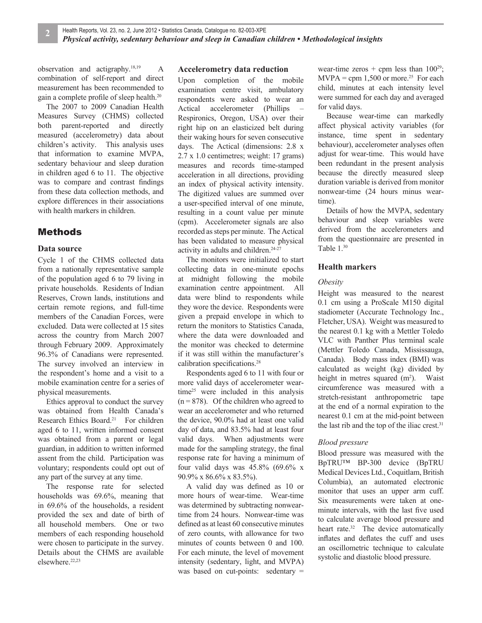observation and actigraphy.18,19 A combination of self-report and direct measurement has been recommended to gain a complete profile of sleep health.<sup>20</sup>

The 2007 to 2009 Canadian Health Measures Survey (CHMS) collected both parent-reported and directly measured (accelerometry) data about children's activity. This analysis uses that information to examine MVPA, sedentary behaviour and sleep duration in children aged 6 to 11. The objective was to compare and contrast findings from these data collection methods, and explore differences in their associations with health markers in children.

## Methods

## **Data source**

Cycle 1 of the CHMS collected data from a nationally representative sample of the population aged 6 to 79 living in private households. Residents of Indian Reserves, Crown lands, institutions and certain remote regions, and full-time members of the Canadian Forces, were excluded. Data were collected at 15 sites across the country from March 2007 through February 2009. Approximately 96.3% of Canadians were represented. The survey involved an interview in the respondent's home and a visit to a mobile examination centre for a series of physical measurements.

Ethics approval to conduct the survey was obtained from Health Canada's Research Ethics Board.<sup>21</sup> For children aged 6 to 11, written informed consent was obtained from a parent or legal guardian, in addition to written informed assent from the child. Participation was voluntary; respondents could opt out of any part of the survey at any time.

The response rate for selected households was 69.6%, meaning that in 69.6% of the households, a resident provided the sex and date of birth of all household members. One or two members of each responding household were chosen to participate in the survey. Details about the CHMS are available elsewhere.<sup>22,23</sup>

## **Accelerometry data reduction**

Upon completion of the mobile examination centre visit, ambulatory respondents were asked to wear an Actical accelerometer (Phillips Respironics, Oregon, USA) over their right hip on an elasticized belt during their waking hours for seven consecutive days. The Actical (dimensions: 2.8 x 2.7 x 1.0 centimetres; weight: 17 grams) measures and records time-stamped acceleration in all directions, providing an index of physical activity intensity. The digitized values are summed over a user-specified interval of one minute, resulting in a count value per minute (cpm). Accelerometer signals are also recorded as steps per minute. The Actical has been validated to measure physical activity in adults and children.<sup>24-27</sup>

The monitors were initialized to start collecting data in one-minute epochs at midnight following the mobile examination centre appointment. All data were blind to respondents while they wore the device. Respondents were given a prepaid envelope in which to return the monitors to Statistics Canada, where the data were downloaded and the monitor was checked to determine if it was still within the manufacturer's calibration specifications.<sup>28</sup>

Respondents aged 6 to 11 with four or more valid days of accelerometer wear $time^{25}$  were included in this analysis  $(n = 878)$ . Of the children who agreed to wear an accelerometer and who returned the device, 90.0% had at least one valid day of data, and 83.5% had at least four valid days. When adjustments were made for the sampling strategy, the final response rate for having a minimum of four valid days was 45.8% (69.6% x 90.9% x 86.6% x 83.5%).

A valid day was defined as 10 or more hours of wear-time. Wear-time was determined by subtracting nonweartime from 24 hours. Nonwear-time was defined as at least 60 consecutive minutes of zero counts, with allowance for two minutes of counts between 0 and 100. For each minute, the level of movement intensity (sedentary, light, and MVPA) was based on cut-points: sedentary = wear-time zeros + cpm less than  $100^{29}$ ;  $MVPA =$  cpm 1,500 or more.<sup>25</sup> For each child, minutes at each intensity level were summed for each day and averaged for valid days.

Because wear-time can markedly affect physical activity variables (for instance, time spent in sedentary behaviour), accelerometer analyses often adjust for wear-time. This would have been redundant in the present analysis because the directly measured sleep duration variable is derived from monitor nonwear-time (24 hours minus weartime).

Details of how the MVPA, sedentary behaviour and sleep variables were derived from the accelerometers and from the questionnaire are presented in Table 1.30

## **Health markers**

#### *Obesity*

Height was measured to the nearest 0.1 cm using a ProScale M150 digital stadiometer (Accurate Technology Inc., Fletcher, USA). Weight was measured to the nearest 0.1 kg with a Mettler Toledo VLC with Panther Plus terminal scale (Mettler Toledo Canada, Mississauga, Canada). Body mass index (BMI) was calculated as weight (kg) divided by height in metres squared  $(m<sup>2</sup>)$ . Waist circumference was measured with a stretch-resistant anthropometric tape at the end of a normal expiration to the nearest 0.1 cm at the mid-point between the last rib and the top of the iliac crest. $31$ 

## *Blood pressure*

Blood pressure was measured with the BpTRU™ BP-300 device (BpTRU Medical Devices Ltd., Coquitlam, British Columbia), an automated electronic monitor that uses an upper arm cuff. Six measurements were taken at oneminute intervals, with the last five used to calculate average blood pressure and heart rate.<sup>32</sup> The device automatically inflates and deflates the cuff and uses an oscillometric technique to calculate systolic and diastolic blood pressure.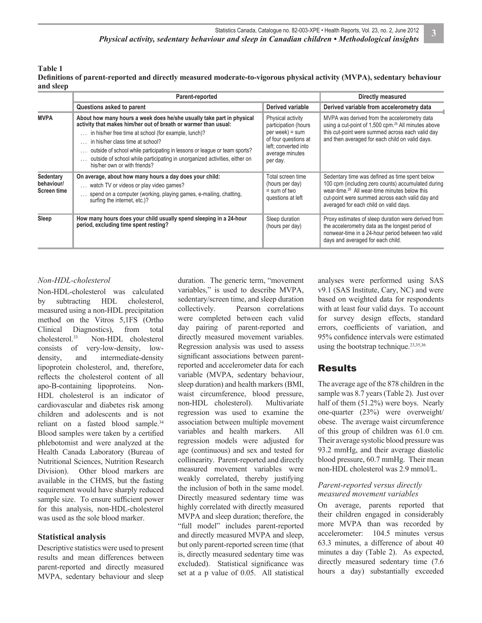**Table 1**

Definitions of parent-reported and directly measured moderate-to-vigorous physical activity (MVPA), sedentary behaviour **and sleep**

|                                        | Parent-reported                                                                                                                                                                                                                                                                                                                                                                                                                  | Directly measured                                                                                                                             |                                                                                                                                                                                                                                                                |  |
|----------------------------------------|----------------------------------------------------------------------------------------------------------------------------------------------------------------------------------------------------------------------------------------------------------------------------------------------------------------------------------------------------------------------------------------------------------------------------------|-----------------------------------------------------------------------------------------------------------------------------------------------|----------------------------------------------------------------------------------------------------------------------------------------------------------------------------------------------------------------------------------------------------------------|--|
|                                        | Questions asked to parent                                                                                                                                                                                                                                                                                                                                                                                                        | Derived variable                                                                                                                              | Derived variable from accelerometry data                                                                                                                                                                                                                       |  |
| <b>MVPA</b>                            | About how many hours a week does he/she usually take part in physical<br>activity that makes him/her out of breath or warmer than usual:<br>in his/her free time at school (for example, lunch)?<br>in his/her class time at school?<br>outside of school while participating in lessons or league or team sports?<br>outside of school while participating in unorganized activities, either on<br>his/her own or with friends? | Physical activity<br>participation (hours<br>$per week) = sum$<br>of four questions at<br>left; converted into<br>average minutes<br>per day. | MVPA was derived from the accelerometry data<br>using a cut-point of 1,500 cpm. <sup>25</sup> All minutes above<br>this cut-point were summed across each valid day<br>and then averaged for each child on valid days.                                         |  |
| Sedentary<br>behaviour/<br>Screen time | On average, about how many hours a day does your child:<br>watch TV or videos or play video games?<br>spend on a computer (working, playing games, e-mailing, chatting,<br>surfing the internet, etc.)?                                                                                                                                                                                                                          | Total screen time<br>(hours per day)<br>$=$ sum of two<br>questions at left                                                                   | Sedentary time was defined as time spent below<br>100 cpm (including zero counts) accumulated during<br>wear-time. <sup>29</sup> All wear-time minutes below this<br>cut-point were summed across each valid day and<br>averaged for each child on valid days. |  |
| Sleep                                  | How many hours does your child usually spend sleeping in a 24-hour<br>period, excluding time spent resting?                                                                                                                                                                                                                                                                                                                      | Sleep duration<br>(hours per day)                                                                                                             | Proxy estimates of sleep duration were derived from<br>the accelerometry data as the longest period of<br>nonwear-time in a 24-hour period between two valid<br>days and averaged for each child.                                                              |  |

## *Non-HDL-cholesterol*

Non-HDL-cholesterol was calculated by subtracting HDL cholesterol, measured using a non-HDL precipitation method on the Vitros 5,1FS (Ortho Clinical Diagnostics), from total cholesterol.33 Non-HDL cholesterol consists of very-low-density, lowdensity, and intermediate-density lipoprotein cholesterol, and, therefore, reflects the cholesterol content of all apo-B-containing lipoproteins. Non-HDL cholesterol is an indicator of cardiovascular and diabetes risk among children and adolescents and is not reliant on a fasted blood sample.<sup>34</sup> Blood samples were taken by a certified phlebotomist and were analyzed at the Health Canada Laboratory (Bureau of Nutritional Sciences, Nutrition Research Division). Other blood markers are available in the CHMS, but the fasting requirement would have sharply reduced sample size. To ensure sufficient power for this analysis, non-HDL-cholesterol was used as the sole blood marker.

## **Statistical analysis**

Descriptive statistics were used to present results and mean differences between parent-reported and directly measured MVPA, sedentary behaviour and sleep duration. The generic term, "movement variables," is used to describe MVPA, sedentary/screen time, and sleep duration collectively. Pearson correlations were completed between each valid day pairing of parent-reported and directly measured movement variables. Regression analysis was used to assess significant associations between parentreported and accelerometer data for each variable (MVPA, sedentary behaviour, sleep duration) and health markers (BMI, waist circumference, blood pressure, non-HDL cholesterol). Multivariate regression was used to examine the association between multiple movement variables and health markers. All regression models were adjusted for age (continuous) and sex and tested for collinearity. Parent-reported and directly measured movement variables were weakly correlated, thereby justifying the inclusion of both in the same model. Directly measured sedentary time was highly correlated with directly measured MVPA and sleep duration; therefore, the "full model" includes parent-reported and directly measured MVPA and sleep, but only parent-reported screen time (that is, directly measured sedentary time was excluded). Statistical significance was set at a p value of 0.05. All statistical analyses were performed using SAS v9.1 (SAS Institute, Cary, NC) and were based on weighted data for respondents with at least four valid days. To account for survey design effects, standard errors, coefficients of variation, and 95% confidence intervals were estimated using the bootstrap technique.23,35,36

## Results

The average age of the 878 children in the sample was 8.7 years (Table 2). Just over half of them (51.2%) were boys. Nearly one-quarter (23%) were overweight/ obese. The average waist circumference of this group of children was 61.0 cm. Their average systolic blood pressure was 93.2 mmHg, and their average diastolic blood pressure, 60.7 mmHg. Their mean non-HDL cholesterol was 2.9 mmol/L.

## *Parent-reported versus directly measured movement variables*

On average, parents reported that their children engaged in considerably more MVPA than was recorded by accelerometer: 104.5 minutes versus 63.3 minutes, a difference of about 40 minutes a day (Table 2). As expected, directly measured sedentary time (7.6 hours a day) substantially exceeded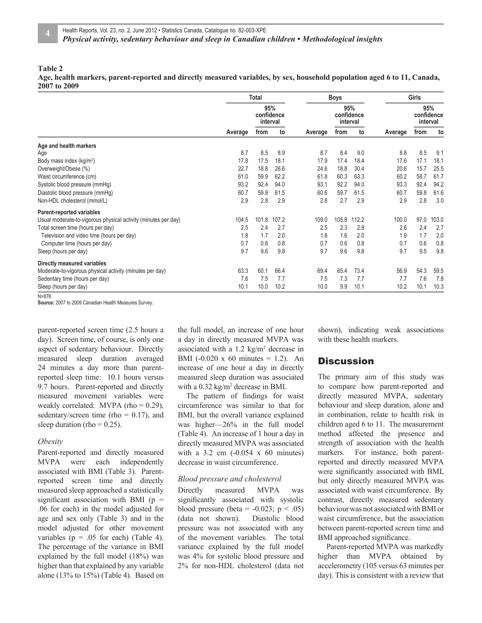#### **Table 2**

**Age, health markers, parent-reported and directly measured variables, by sex, household population aged 6 to 11, Canada, 2007 to 2009**

|                                                                |         | <b>Total</b>                  |       | <b>Boys</b> |                               |       |         | <b>Girls</b>                  |       |  |
|----------------------------------------------------------------|---------|-------------------------------|-------|-------------|-------------------------------|-------|---------|-------------------------------|-------|--|
|                                                                |         | 95%<br>confidence<br>interval |       |             | 95%<br>confidence<br>interval |       |         | 95%<br>confidence<br>interval |       |  |
|                                                                | Average | from                          | to    | Average     | from                          | to    | Average | from                          | to    |  |
| Age and health markers                                         |         |                               |       |             |                               |       |         |                               |       |  |
| Age                                                            | 8.7     | 8.5                           | 8.9   | 8.7         | 8.4                           | 9.0   | 8.8     | 8.5                           | 9.1   |  |
| Body mass index (kg/m <sup>2</sup> )                           | 17.8    | 17.5                          | 18.1  | 17.9        | 17.4                          | 18.4  | 17.6    | 17.1                          | 18.1  |  |
| Overweight/Obese (%)                                           | 22.7    | 18.8                          | 26.6  | 24.6        | 18.8                          | 30.4  | 20.6    | 15.7                          | 25.5  |  |
| Waist circumference (cm)                                       | 61.0    | 59.9                          | 62.2  | 61.8        | 60.3                          | 63.3  | 60.2    | 58.7                          | 61.7  |  |
| Systolic blood pressure (mmHg)                                 | 93.2    | 92.4                          | 94.0  | 93.1        | 92.2                          | 94.0  | 93.3    | 92.4                          | 94.2  |  |
| Diastolic blood pressure (mmHg)                                | 60.7    | 59.9                          | 61.5  | 60.6        | 59.7                          | 61.5  | 60.7    | 59.8                          | 61.6  |  |
| Non-HDL cholesterol (mmol/L)                                   | 2.9     | 2.8                           | 2.9   | 2.8         | 2.7                           | 2.9   | 2.9     | 2.8                           | 3.0   |  |
| Parent-reported variables                                      |         |                               |       |             |                               |       |         |                               |       |  |
| Usual moderate-to-vigorous physical activity (minutes per day) | 104.5   | 101.8                         | 107.2 | 109.0       | 105.8                         | 112.2 | 100.0   | 97.0                          | 103.0 |  |
| Total screen time (hours per day)                              | 2.5     | 2.4                           | 2.7   | 2.5         | 2.3                           | 2.8   | 2.6     | 2.4                           | 2.7   |  |
| Television and video time (hours per day)                      | 1.8     | 1.7                           | 2.0   | 1.8         | 1.6                           | 2.0   | 1.9     | 1.7                           | 2.0   |  |
| Computer time (hours per day)                                  | 0.7     | 0.6                           | 0.8   | 0.7         | 0.6                           | 0.8   | 0.7     | 0.6                           | 0.8   |  |
| Sleep (hours per day)                                          | 9.7     | 9.6                           | 9.8   | 9.7         | 9.6                           | 9.8   | 9.7     | 9.5                           | 9.8   |  |
| Directly measured variables                                    |         |                               |       |             |                               |       |         |                               |       |  |
| Moderate-to-vigorous physical activity (minutes per day)       | 63.3    | 60.1                          | 66.4  | 69.4        | 65.4                          | 73.4  | 56.9    | 54.3                          | 59.5  |  |
| Sedentary time (hours per day)                                 | 7.6     | 7.5                           | 7.7   | 7.5         | 7.3                           | 7.7   | 7.7     | 7.6                           | 7.8   |  |
| Sleep (hours per day)                                          | 10.1    | 10.0                          | 10.2  | 10.0        | 9.9                           | 10.1  | 10.2    | 10.1                          | 10.3  |  |
| $N = 878$                                                      |         |                               |       |             |                               |       |         |                               |       |  |

**Source:** 2007 to 2009 Canadian Health Measures Survey.

parent-reported screen time (2.5 hours a day). Screen time, of course, is only one aspect of sedentary behaviour. Directly measured sleep duration averaged 24 minutes a day more than parentreported sleep time: 10.1 hours versus 9.7 hours. Parent-reported and directly measured movement variables were weakly correlated: MVPA (rho =  $0.29$ ), sedentary/screen time (rho =  $0.17$ ), and sleep duration (rho =  $0.25$ ).

#### *Obesity*

Parent-reported and directly measured MVPA were each independently associated with BMI (Table 3). Parentreported screen time and directly measured sleep approached a statistically significant association with BMI ( $p =$ .06 for each) in the model adjusted for age and sex only (Table 3) and in the model adjusted for other movement variables ( $p = .05$  for each) (Table 4). The percentage of the variance in BMI explained by the full model (18%) was higher than that explained by any variable alone (13% to 15%) (Table 4). Based on

the full model, an increase of one hour a day in directly measured MVPA was associated with a  $1.2 \text{ kg/m}^2$  decrease in BMI (-0.020 x 60 minutes = 1.2). An increase of one hour a day in directly measured sleep duration was associated with a 0.32 kg/m<sup>2</sup> decrease in BMI.

The pattern of findings for waist circumference was similar to that for BMI, but the overall variance explained was higher—26% in the full model (Table 4). An increase of 1 hour a day in directly measured MVPA was associated with a  $3.2 \text{ cm}$   $(-0.054 \text{ x } 60 \text{ minutes})$ decrease in waist circumference.

#### *Blood pressure and cholesterol*

Directly measured MVPA was significantly associated with systolic blood pressure (beta =  $-0.023$ ; p < .05) (data not shown). Diastolic blood pressure was not associated with any of the movement variables. The total variance explained by the full model was 4% for systolic blood pressure and 2% for non-HDL cholesterol (data not

shown), indicating weak associations with these health markers.

## **Discussion**

The primary aim of this study was to compare how parent-reported and directly measured MVPA, sedentary behaviour and sleep duration, alone and in combination, relate to health risk in children aged 6 to 11. The measurement method affected the presence and strength of association with the health markers. For instance, both parentreported and directly measured MVPA were significantly associated with BMI, but only directly measured MVPA was associated with waist circumference. By contrast, directly measured sedentary behaviour was not associated with BMI or waist circumference, but the association between parent-reported screen time and BMI approached significance.

Parent-reported MVPA was markedly higher than MVPA obtained by accelerometry (105 versus 63 minutes per day). This is consistent with a review that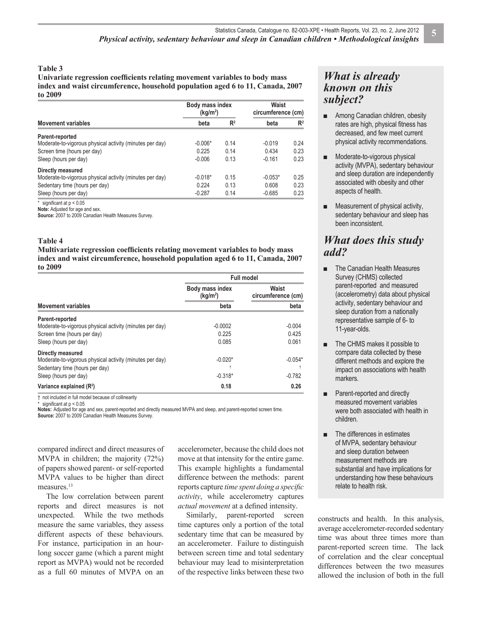#### **Table 3**

Univariate regression coefficients relating movement variables to body mass **index and waist circumference, household population aged 6 to 11, Canada, 2007 to 2009**

|                                                          | Body mass index<br>(kg/m <sup>2</sup> ) |       | Waist<br>circumference (cm) |                |  |
|----------------------------------------------------------|-----------------------------------------|-------|-----------------------------|----------------|--|
| <b>Movement variables</b>                                | beta                                    | $R^2$ | beta                        | R <sup>2</sup> |  |
| Parent-reported                                          |                                         |       |                             |                |  |
| Moderate-to-vigorous physical activity (minutes per day) | $-0.006*$                               | 0.14  | $-0.019$                    | 0.24           |  |
| Screen time (hours per day)                              | 0.225                                   | 0.14  | 0.434                       | 0.23           |  |
| Sleep (hours per day)                                    | $-0.006$                                | 0.13  | $-0.161$                    | 0.23           |  |
| Directly measured                                        |                                         |       |                             |                |  |
| Moderate-to-vigorous physical activity (minutes per day) | $-0.018*$                               | 0.15  | $-0.053*$                   | 0.25           |  |
| Sedentary time (hours per day)                           | 0.224                                   | 0.13  | 0.608                       | 0.23           |  |
| Sleep (hours per day)                                    | $-0.287$                                | 0.14  | $-0.685$                    | 0.23           |  |

 $*$  significant at  $p < 0.05$ **Note:** Adjusted for age and sex.

**Source:** 2007 to 2009 Canadian Health Measures Survey.

#### **Table 4**

**Multivariate regression coefficients relating movement variables to body mass index and waist circumference, household population aged 6 to 11, Canada, 2007 to 2009**

|                                                                                                                                          | <b>Full model</b>                       |                             |  |
|------------------------------------------------------------------------------------------------------------------------------------------|-----------------------------------------|-----------------------------|--|
|                                                                                                                                          | Body mass index<br>(kg/m <sup>2</sup> ) | Waist<br>circumference (cm) |  |
| <b>Movement variables</b>                                                                                                                | beta                                    | beta                        |  |
| Parent-reported<br>Moderate-to-vigorous physical activity (minutes per day)<br>Screen time (hours per day)<br>Sleep (hours per day)      | $-0.0002$<br>0.225<br>0.085             | $-0.004$<br>0.425<br>0.061  |  |
| Directly measured<br>Moderate-to-vigorous physical activity (minutes per day)<br>Sedentary time (hours per day)<br>Sleep (hours per day) | $-0.020*$<br>$-0.318*$                  | $-0.054*$<br>$-0.782$       |  |
| Variance explained $(R2)$                                                                                                                | 0.18                                    | 0.26                        |  |

† not included in full model because of collinearity

\* signifi cant at p < 0.05 **Notes:** Adjusted for age and sex, parent-reported and directly measured MVPA and sleep, and parent-reported screen time.

**Source:** 2007 to 2009 Canadian Health Measures Survey.

compared indirect and direct measures of MVPA in children; the majority (72%) of papers showed parent- or self-reported MVPA values to be higher than direct measures.<sup>13</sup>

The low correlation between parent reports and direct measures is not unexpected. While the two methods measure the same variables, they assess different aspects of these behaviours. For instance, participation in an hourlong soccer game (which a parent might report as MVPA) would not be recorded as a full 60 minutes of MVPA on an

accelerometer, because the child does not move at that intensity for the entire game. This example highlights a fundamental difference between the methods: parent reports capture *time spent doing a specific activity*, while accelerometry captures *actual movement* at a defined intensity.

Similarly, parent-reported screen time captures only a portion of the total sedentary time that can be measured by an accelerometer. Failure to distinguish between screen time and total sedentary behaviour may lead to misinterpretation of the respective links between these two

## *What is already known on this subject?*

- Among Canadian children, obesity rates are high, physical fitness has decreased, and few meet current physical activity recommendations.
- Moderate-to-vigorous physical activity (MVPA), sedentary behaviour and sleep duration are independently associated with obesity and other aspects of health.
- **■** Measurement of physical activity, sedentary behaviour and sleep has been inconsistent.

## *What does this study add?*

- **■** The Canadian Health Measures Survey (CHMS) collected parent-reported and measured (accelerometry) data about physical activity, sedentary behaviour and sleep duration from a nationally representative sample of 6- to 11-year-olds.
- The CHMS makes it possible to compare data collected by these different methods and explore the impact on associations with health markers.
- Parent-reported and directly measured movement variables were both associated with health in children.
- **■** The differences in estimates of MVPA, sedentary behaviour and sleep duration between measurement methods are substantial and have implications for understanding how these behaviours relate to health risk.

constructs and health. In this analysis, average accelerometer-recorded sedentary time was about three times more than parent-reported screen time. The lack of correlation and the clear conceptual differences between the two measures allowed the inclusion of both in the full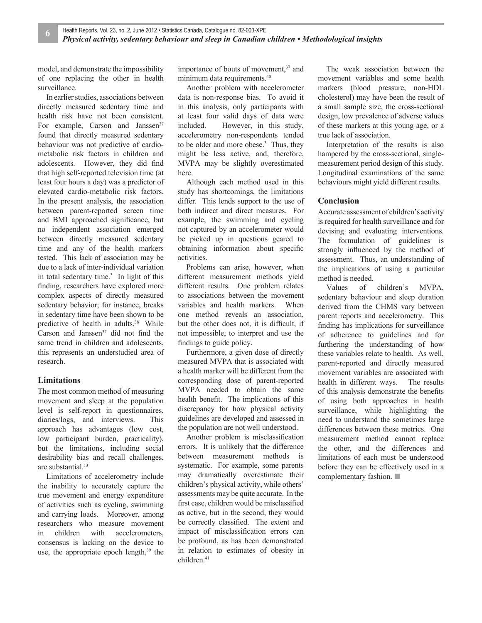model, and demonstrate the impossibility of one replacing the other in health surveillance.

In earlier studies, associations between directly measured sedentary time and health risk have not been consistent. For example, Carson and Janssen<sup>37</sup> found that directly measured sedentary behaviour was not predictive of cardiometabolic risk factors in children and adolescents. However, they did find that high self-reported television time (at least four hours a day) was a predictor of elevated cardio-metabolic risk factors. In the present analysis, the association between parent-reported screen time and BMI approached significance, but no independent association emerged between directly measured sedentary time and any of the health markers tested. This lack of association may be due to a lack of inter-individual variation in total sedentary time. $3$  In light of this finding, researchers have explored more complex aspects of directly measured sedentary behavior; for instance, breaks in sedentary time have been shown to be predictive of health in adults.<sup>38</sup> While Carson and Janssen $37$  did not find the same trend in children and adolescents, this represents an understudied area of research.

## **Limitations**

The most common method of measuring movement and sleep at the population level is self-report in questionnaires, diaries/logs, and interviews. This approach has advantages (low cost, low participant burden, practicality), but the limitations, including social desirability bias and recall challenges, are substantial.<sup>13</sup>

Limitations of accelerometry include the inability to accurately capture the true movement and energy expenditure of activities such as cycling, swimming and carrying loads. Moreover, among researchers who measure movement in children with accelerometers, consensus is lacking on the device to use, the appropriate epoch length, $39$  the

importance of bouts of movement,<sup>37</sup> and minimum data requirements.40

Another problem with accelerometer data is non-response bias. To avoid it in this analysis, only participants with at least four valid days of data were included. However, in this study, accelerometry non-respondents tended to be older and more obese.<sup>3</sup> Thus, they might be less active, and, therefore, MVPA may be slightly overestimated here.

Although each method used in this study has shortcomings, the limitations differ. This lends support to the use of both indirect and direct measures. For example, the swimming and cycling not captured by an accelerometer would be picked up in questions geared to obtaining information about specific activities.

Problems can arise, however, when different measurement methods yield different results. One problem relates to associations between the movement variables and health markers. When one method reveals an association, but the other does not, it is difficult, if not impossible, to interpret and use the findings to guide policy.

Furthermore, a given dose of directly measured MVPA that is associated with a health marker will be different from the corresponding dose of parent-reported MVPA needed to obtain the same health benefit. The implications of this discrepancy for how physical activity guidelines are developed and assessed in the population are not well understood.

Another problem is misclassification errors. It is unlikely that the difference between measurement methods is systematic. For example, some parents may dramatically overestimate their children's physical activity, while others' assessments may be quite accurate. In the first case, children would be misclassified as active, but in the second, they would be correctly classified. The extent and impact of misclassification errors can be profound, as has been demonstrated in relation to estimates of obesity in children.41

The weak association between the movement variables and some health markers (blood pressure, non-HDL cholesterol) may have been the result of a small sample size, the cross-sectional design, low prevalence of adverse values of these markers at this young age, or a true lack of association.

Interpretation of the results is also hampered by the cross-sectional, singlemeasurement period design of this study. Longitudinal examinations of the same behaviours might yield different results.

### **Conclusion**

Accurate assessment of children's activity is required for health surveillance and for devising and evaluating interventions. The formulation of guidelines is strongly influenced by the method of assessment. Thus, an understanding of the implications of using a particular method is needed.

Values of children's MVPA, sedentary behaviour and sleep duration derived from the CHMS vary between parent reports and accelerometry. This finding has implications for surveillance of adherence to guidelines and for furthering the understanding of how these variables relate to health. As well, parent-reported and directly measured movement variables are associated with health in different ways. The results of this analysis demonstrate the benefits of using both approaches in health surveillance, while highlighting the need to understand the sometimes large differences between these metrics. One measurement method cannot replace the other, and the differences and limitations of each must be understood before they can be effectively used in a complementary fashion. ■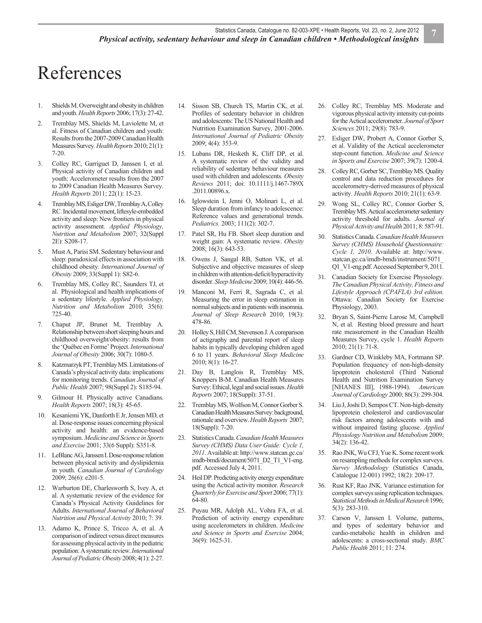# References

- 1. Shields M. Overweight and obesity in children and youth. *Health Reports* 2006; 17(3): 27-42.
- 2. Tremblay MS, Shields M, Laviolette M, et al. Fitness of Canadian children and youth: Results from the 2007-2009 Canadian Health Measures Survey. *Health Reports* 2010; 21(1): 7-20.
- 3. Colley RC, Garriguet D, Janssen I, et al. Physical activity of Canadian children and youth: Accelerometer results from the 2007 to 2009 Canadian Health Measures Survey. *Health Reports* 2011; 22(1): 15-23.
- 4. Tremblay MS, Esliger DW, Tremblay A, Colley RC. Incidental movement, liftesyle-embedded activity and sleep: New frontiers in physical activity assessment. *Applied Physiology, Nutrition and Metabolism* 2007; 32(Suppl 2E): S208-17.
- 5. Must A, Parisi SM. Sedentary behaviour and sleep: paradoxical effects in association with childhood obesity. *International Journal of Obesity* 2009; 33(Suppl 1): S82-6.
- 6. Tremblay MS, Colley RC, Saunders TJ, et al. Physiological and health implications of a sedentary lifestyle. *Applied Physiology, Nutrition and Metabolism* 2010; 35(6): 725-40.
- 7. Chaput JP, Brunet M, Tremblay A. Relationship between short sleeping hours and childhood overweight/obesity: results from the 'Québec en Forme' Project. *International Journal of Obesity* 2006; 30(7): 1080-5.
- 8. Katzmarzyk PT, Tremblay MS. Limitations of Canada's physical activity data: implications for monitoring trends. *Canadian Journal of Public Health* 2007; 98(Suppl 2): S185-94.
- 9. Gilmour H. Physically active Canadians. *Health Reports* 2007; 18(3): 45-65.
- 10. Kesaniemi YK, Danforth E Jr, Jensen MD, et al. Dose-response issues concerning physical activity and health: an evidence-based symposium. *Medicine and Science in Sports and Exercise* 2001; 33(6 Suppl): S351-8.
- 11. LeBlanc AG, Janssen I. Dose-response relation between physical activity and dyslipidemia in youth. *Canadian Journal of Cardiology* 2009; 26(6): e201-5.
- 12. Warburton DE, Charlesworth S, Ivey A, et al. A systematic review of the evidence for Canada's Physical Activity Guidelines for Adults. *International Journal of Behavioral Nutrition and Physical Activity* 2010; 7: 39.
- 13. Adamo K, Prince S, Tricco A, et al. A comparison of indirect versus direct measures for assessing physical activity in the pediatric population: A systematic review. *International Journal of Pediatric Obesity* 2008; 4(1): 2-27.
- 14. Sisson SB, Church TS, Martin CK, et al. Profiles of sedentary behavior in children and adolescents: The US National Health and Nutrition Examination Survey, 2001-2006. *International Journal of Pediatric Obesity* 2009; 4(4): 353-9.
- 15. Lubans DR, Hesketh K, Cliff DP, et al. A systematic review of the validity and reliability of sedentary behaviour measures used with children and adolescents. *Obesity Reviews* 2011; doi: 10.1111/j.1467-789X .2011.00896.x.
- 16. Iglowstein I, Jenni O, Molinari L, et al. Sleep duration from infancy to adolescence: Reference values and generational trends. *Pediatrics.* 2003; 111(2): 302-7.
- 17. Patel SR, Hu FB. Short sleep duration and weight gain: A systematic review. *Obesity*  2008; 16(3): 643-53.
- 18. Owens J, Sangal RB, Sutton VK, et al. Subjective and objective measures of sleep in children with attention-deficit/hyperactivity disorder. *Sleep Medicine* 2009; 10(4): 446-56.
- 19. Manconi M, Ferri R, Sagrada C, et al. Measuring the error in sleep estimation in normal subjects and in patients with insomnia. *Journal of Sleep Research* 2010; 19(3): 478-86.
- 20. Holley S, Hill CM, Stevenson J. A comparison of actigraphy and parental report of sleep habits in typically developing children aged 6 to 11 years. *Behavioral Sleep Medicine* 2010; 8(1): 16-27.
- 21. Day B, Langlois R, Tremblay MS, Knoppers B-M. Canadian Health Measures Survey: Ethical, legal and social issues. *Health Reports* 2007; 18(Suppl): 37-51.
- 22. Tremblay MS, Wolfson M, Connor Gorber S. Canadian Health Measures Survey: background, rationale and overview. *Health Reports* 2007; 18(Suppl): 7-20.
- 23. Statistics Canada. *Canadian Health Measures Survey (CHMS) Data User Guide: Cycle 1, 2011.* Available at: http://www.statcan.gc.ca/ imdb-bmdi/document/5071\_D2\_T1\_V1-eng. pdf. Accessed July 4, 2011.
- 24. Heil DP. Predicting activity energy expenditure using the Actical activity monitor. *Research Quarterly for Exercise and Sport* 2006; 77(1): 64-80.
- Puyau MR, Adolph AL, Vohra FA, et al. Prediction of activity energy expenditure using accelerometers in children. *Medicine and Science in Sports and Exercise* 2004; 36(9): 1625-31.
- 26. Colley RC, Tremblay MS. Moderate and vigorous physical activity intensity cut-points for the Actical accelerometer. *Journal of Sport Sciences* 2011; 29(8): 783-9.
- 27. Esliger DW, Probert A, Connor Gorber S, et al. Validity of the Actical accelerometer step-count function. *Medicine and Science in Sports and Exercise* 2007; 39(7): 1200-4.
- 28. Colley RC, Gorber SC, Tremblay MS. Quality control and data reduction procedures for accelerometry-derived measures of physical activity. *Health Reports* 2010; 21(1): 63-9.
- 29. Wong SL, Colley RC, Connor Gorber S, Tremblay MS. Actical accelerometer sedentary activity threshold for adults. *Journal of Physical Activity and Health* 2011; 8: 587-91.
- 30. Statistics Canada. *Canadian Health Measures Survey (CHMS) Household Questionnaire: Cycle 1, 2010.* Available at: http://www. statcan.gc.ca/imdb-bmdi/instrument/5071\_ Q1\_V1-eng.pdf. Accessed September 9, 2011.
- 31. Canadian Society for Exercise Physiology. *The Canadian Physical Activity, Fitness and Lifestyle Approach (CPAFLA) 3rd edition*. Ottawa: Canadian Society for Exercise Physiology, 2003.
- 32. Bryan S, Saint-Pierre Larose M, Campbell N, et al. Resting blood pressure and heart rate measurement in the Canadian Health Measures Survey, cycle 1. *Health Reports* 2010; 21(1): 71-8.
- 33. Gardner CD, Winkleby MA, Fortmann SP. Population frequency of non-high-density lipoprotein cholesterol (Third National Health and Nutrition Examination Survey [NHANES III], 1988-1994). *American Journal of Cardiology* 2000; 86(3): 299-304.
- 34. Liu J, Joshi D, Sempos CT. Non-high-density lipoprotein cholesterol and cardiovascular risk factors among adolescents with and without impaired fasting glucose. *Applied Physiology Nutrition and Metabolism* 2009; 34(2): 136-42.
- 35. Rao JNK, Wu CFJ, Yue K. Some recent work on resampling methods for complex surveys. *Survey Methodology* (Statistics Canada, Catalogue 12-001) 1992; 18(2): 209-17.
- 36. Rust KF, Rao JNK. Variance estimation for complex surveys using replication techniques. *Statistical Methods in Medical Research* 1996; 5(3): 283-310.
- 37. Carson V, Janssen I. Volume, patterns, and types of sedentary behavior and cardio-metabolic health in children and adolescents: a cross-sectional study. *BMC Public Health* 2011; 11: 274.